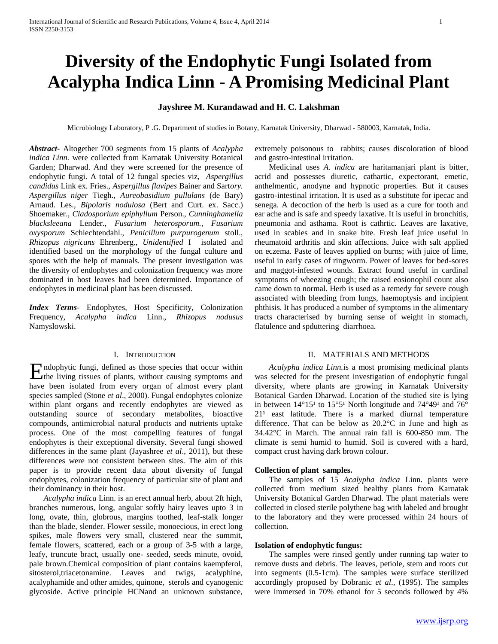# **Diversity of the Endophytic Fungi Isolated from Acalypha Indica Linn - A Promising Medicinal Plant**

## **Jayshree M. Kurandawad and H. C. Lakshman**

Microbiology Laboratory, P .G. Department of studies in Botany, Karnatak University, Dharwad - 580003, Karnatak, India.

*Abstract***-** Altogether 700 segments from 15 plants of *Acalypha indica Linn.* were collected from Karnatak University Botanical Garden; Dharwad. And they were screened for the presence of endophytic fungi. A total of 12 fungal species viz, *Aspergillus candidus* Link ex. Fries., *Aspergillus flavipes* Bainer and Sart*ory. Aspergillus niger* Tiegh., *Aureobasidium pullulans* (de Bary) Arnaud. Les., *Bipolaris nodulosa* (Bert and Curt. ex. Sacc.) Shoemaker., *Cladosporium epiphyllum* Person., *Cunninghamella blacksleeana* Lender., *Fusarium heterosporum., Fusarium oxysporum* Schlechtendahl., *Penicillum purpurogenum* stoll., *Rhizopus nigricans* Ehrenberg., *Unidentified* I isolated and identified based on the morphology of the fungal culture and spores with the help of manuals. The present investigation was the diversity of endophytes and colonization frequency was more dominated in host leaves had been determined. Importance of endophytes in medicinal plant has been discussed.

*Index Terms*- Endophytes, Host Specificity, Colonization Frequency, *Acalypha indica* Linn., *Rhizopus nodusus*  Namyslowski.

## I. INTRODUCTION

ndophytic fungi, defined as those species that occur within Endophytic fungi, defined as those species that occur within<br>the living tissues of plants, without causing symptoms and have been isolated from every organ of almost every plant species sampled (Stone *et al*., 2000). Fungal endophytes colonize within plant organs and recently endophytes are viewed as outstanding source of secondary metabolites, bioactive compounds, antimicrobial natural products and nutrients uptake process. One of the most compelling features of fungal endophytes is their exceptional diversity. Several fungi showed differences in the same plant (Jayashree *et al*., 2011), but these differences were not consistent between sites. The aim of this paper is to provide recent data about diversity of fungal endophytes, colonization frequency of particular site of plant and their dominancy in their host.

 *Acalypha indica* Linn. is an erect annual herb, about 2ft high, branches numerous, long, angular softly hairy leaves upto 3 in long, ovate, thin, globrous, margins toothed, leaf-stalk longer than the blade, slender. Flower sessile, monoecious, in erect long spikes, male flowers very small, clustered near the summit, female flowers, scattered, each or a group of 3-5 with a large, leafy, truncute bract, usually one- seeded, seeds minute, ovoid, pale brown.Chemical composition of plant contains kaempferol, sitosterol,triacetonamine. Leaves and twigs, acalyphine, acalyphamide and other amides, quinone, sterols and cyanogenic glycoside. Active principle HCNand an unknown substance,

extremely poisonous to rabbits; causes discoloration of blood and gastro-intestinal irritation.

Medicinal uses *A*. *indica* are haritamanjari plant is bitter, acrid and possesses diuretic, cathartic, expectorant, emetic, anthelmentic, anodyne and hypnotic properties. But it causes gastro-intestinal irritation. It is used as a substitute for ipecac and senega. A decoction of the herb is used as a cure for tooth and ear ache and is safe and speedy laxative. It is useful in bronchitis, pneumonia and asthama. Root is cathrtic. Leaves are laxative, used in scabies and in snake bite. Fresh leaf juice useful in rheumatoid arthritis and skin affections. Juice with salt applied on eczema. Paste of leaves applied on burns; with juice of lime, useful in early cases of ringworm. Power of leaves for bed-sores and maggot-infested wounds. Extract found useful in cardinal symptoms of wheezing cough; the raised eosionophil count also came down to normal. Herb is used as a remedy for severe cough associated with bleeding from lungs, haemoptysis and incipient phthisis. It has produced a number of symptoms in the alimentary tracts characterised by burning sense of weight in stomach, flatulence and spduttering diarrhoea.

#### II. MATERIALS AND METHODS

 *Acalypha indica Linn.*is a most promising medicinal plants was selected for the present investigation of endophytic fungal diversity, where plants are growing in Karnatak University Botanical Garden Dharwad. Location of the studied site is lying in between  $14^{\circ}15^{\circ}$  to  $15^{\circ}5^{\circ}1$  North longitude and  $74^{\circ}49^{\circ}1$  and  $76^{\circ}$  $21<sup>1</sup>$  east latitude. There is a marked diurnal temperature difference. That can be below as 20.2°C in June and high as 34.42°C in March. The annual rain fall is 600-850 mm. The climate is semi humid to humid. Soil is covered with a hard, compact crust having dark brown colour.

#### **Collection of plant samples.**

The samples of 15 *Acalypha indica* Linn. plants were collected from medium sized healthy plants from Karnatak University Botanical Garden Dharwad. The plant materials were collected in closed sterile polythene bag with labeled and brought to the laboratory and they were processed within 24 hours of collection.

#### **Isolation of endophytic fungus:**

The samples were rinsed gently under running tap water to remove dusts and debris. The leaves, petiole, stem and roots cut into segments (0.5-1cm). The samples were surface sterilized accordingly proposed by Dobranic *et al*., (1995). The samples were immersed in 70% ethanol for 5 seconds followed by 4%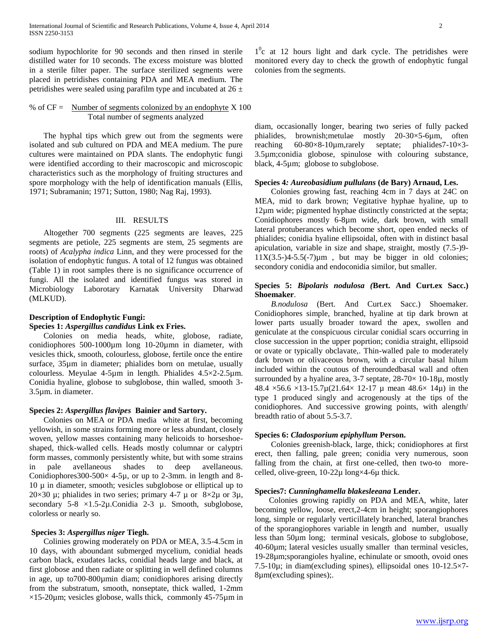sodium hypochlorite for 90 seconds and then rinsed in sterile distilled water for 10 seconds. The excess moisture was blotted in a sterile filter paper. The surface sterilized segments were placed in petridishes containing PDA and MEA medium. The petridishes were sealed using parafilm type and incubated at  $26 \pm$ 

## % of  $CF =$  Number of segments colonized by an endophyte  $X$  100 Total number of segments analyzed

The hyphal tips which grew out from the segments were isolated and sub cultured on PDA and MEA medium. The pure cultures were maintained on PDA slants. The endophytic fungi were identified according to their macroscopic and microscopic characteristics such as the morphology of fruiting structures and spore morphology with the help of identification manuals (Ellis, 1971; Subramanin; 1971; Sutton, 1980; Nag Raj, 1993).

#### III. RESULTS

Altogether 700 segments (225 segments are leaves, 225 segments are petiole, 225 segments are stem, 25 segments are roots) of *Acalypha indica* Linn, and they were processed for the isolation of endophytic fungus. A total of 12 fungus was obtained (Table 1) in root samples there is no significance occurrence of fungi. All the isolated and identified fungus was stored in Microbiology Laborotary Karnatak University Dharwad (MLKUD).

# **Description of Endophytic Fungi:**

## **Species 1:** *Aspergillus candidus* **Link ex Fries.**

Colonies on media heads, white, globose, radiate, conidiophores 500-1000µm long 10-20µmn in diameter, with vesicles thick, smooth, colourless, globose, fertile once the entire surface, 35µm in diameter; phialides born on metulae, usually colourless. Meyulae 4-5µm in length. Phialides 4.5×2-2.5µm. Conidia hyaline, globose to subglobose, thin walled, smooth 3- 3.5µm. in diameter.

#### **Species 2:** *Aspergillus flavipes* **Bainier and Sartory.**

Colonies on MEA or PDA media white at first, becoming yellowish, in some strains forming more or less abundant, closely woven, yellow masses containing many helicoids to horseshoeshaped, thick-walled cells. Heads mostly columnar or calyptri form masses, commonly persistently white, but with some strains in pale avellaneous shades to deep avellaneous. Conidiophores 300-500 $\times$  4-5 $\mu$ , or up to 2-3mm. in length and 8- $10 \mu$  in diameter, smooth; vesicles subglobose or elliptical up to 20×30  $\mu$ ; phialides in two series; primary 4-7  $\mu$  or 8×2 $\mu$  or 3 $\mu$ , secondary  $5-8 \times 1.5-2\mu$ . Conidia 2-3  $\mu$ . Smooth, subglobose, colorless or nearly so.

#### **Species 3:** *Aspergillus niger* **Tiegh.**

Colinies growing moderately on PDA or MEA, 3.5-4.5cm in 10 days, with aboundant submerged mycelium, conidial heads carbon black, exudates lacks, conidial heads large and black, at first globose and then radiate or splitting in well defined columns in age, up to700-800µmin diam; conidiophores arising directly from the substratum, smooth, nonseptate, thick walled, 1-2mm  $\times$ 15-20 $\mu$ m; vesicles globose, walls thick, commonly 45-75 $\mu$ m in

1<sup>o</sup>c at 12 hours light and dark cycle. The petridishes were monitored every day to check the growth of endophytic fungal colonies from the segments.

diam, occasionally longer, bearing two series of fully packed phialides, brownish;metulae mostly 20-30×5-6µm, often reaching 60-80×8-10µm,rarely septate; phialides7-10×3- 3.5µm;conidia globose, spinulose with colouring substance, black, 4-5µm; globose to subglobose.

#### **Species 4***: Aureobasidium pullulans* **(de Bary) Arnaud, Les.**

Colonies growing fast, reaching 4cm in 7 days at 24C on MEA, mid to dark brown; Vegitative hyphae hyaline, up to 12µm wide; pigmented hyphae distinctly constricted at the septa; Conidiophores mostly 6-8µm wide, dark brown, with small lateral protuberances which become short, open ended necks of phialides; conidia hyaline ellipsoidal, often with in distinct basal apiculation, variable in size and shape, straight, mostly (7.5-)9-  $11X(3.5-)4-5.5(-7)\mu m$ , but may be bigger in old colonies; secondory conidia and endoconidia similor, but smaller.

#### **Species 5:** *Bipolaris nodulosa (***Bert. And Curt.ex Sacc.) Shoemaker**.

 *B.nodulosa* (Bert. And Curt.ex Sacc.) Shoemaker. Conidiophores simple, branched, hyaline at tip dark brown at lower parts usually broader toward the apex, swollen and geniculate at the conspicuous circular conidial scars occurring in close succession in the upper poprtion; conidia straight, ellipsoid or ovate or typically obclavate,. Thin-walled pale to moderately dark brown or olivaceous brown, with a circular basal hilum included within the coutous of theroundedbasal wall and often surrounded by a hyaline area,  $3-7$  septate,  $28-70 \times 10-18\mu$ , mostly 48.4  $\times$ 56.6  $\times$ 13-15.7µ(21.64 $\times$  12-17 µ mean 48.6 $\times$  14µ) in the type 1 produced singly and acrogenously at the tips of the conidiophores. And successive growing points, with alength/ breadth ratio of about 5.5-3.7.

#### **Species 6:** *Cladosporium epiphyllum* **Person.**

Colonies greenish-black, large, thick; conidiophores at first erect, then falling, pale green; conidia very numerous, soon falling from the chain, at first one-celled, then two-to morecelled, olive-green, 10-22µ long×4-6µ thick.

#### **Species7:** *Cunninghamella blakesleeana* **Lender.**

Colonies growing rapidly on PDA and MEA, white, later becoming yellow, loose, erect,2-4cm in height; sporangiophores long, simple or regularly verticillately branched, lateral branches of the sporangiophores variable in length and number, usually less than 50µm long; terminal vesicals, globose to subglobose, 40-60µm; lateral vesicles usually smaller than terminal vesicles, 19-28µm;sporangioles hyaline, echinulate or smooth, ovoid ones 7.5-10µ; in diam(excluding spines), ellipsoidal ones 10-12.5×7- 8µm(excluding spines);.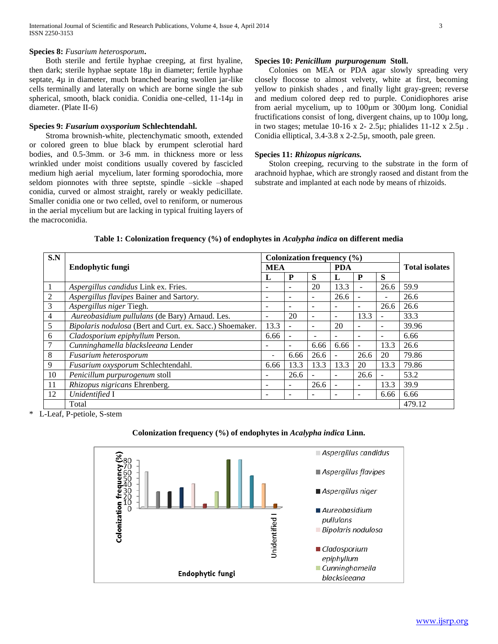Both sterile and fertile hyphae creeping, at first hyaline, then dark; sterile hyphae septate 18µ in diameter; fertile hyphae septate, 4µ in diameter, much branched bearing swollen jar-like cells terminally and laterally on which are borne single the sub spherical, smooth, black conidia. Conidia one-celled, 11-14µ in diameter. (Plate II-6)

#### **Species 9:** *Fusarium oxysporium* **Schlechtendahl.**

Stroma brownish-white, plectenchymatic smooth, extended or colored green to blue black by erumpent sclerotial hard bodies, and 0.5-3mm. or 3-6 mm. in thickness more or less wrinkled under moist conditions usually covered by fascicled medium high aerial mycelium, later forming sporodochia, more seldom pionnotes with three septste, spindle –sickle –shaped conidia, curved or almost straight, rarely or weakly pedicillate. Smaller conidia one or two celled, ovel to reniform, or numerous in the aerial mycelium but are lacking in typical fruiting layers of the macroconidia.

#### **Species 10:** *Penicillum purpurogenum* **Stoll.**

Colonies on MEA or PDA agar slowly spreading very closely flocosse to almost velvety, white at first, becoming yellow to pinkish shades , and finally light gray-green; reverse and medium colored deep red to purple. Conidiophores arise from aerial mycelium, up to 100µm or 300µm long. Conidial fructifications consist of long, divergent chains, up to 100µ long, in two stages; metulae 10-16 x 2- 2.5 $\mu$ ; phialides 11-12 x 2.5 $\mu$ . Conidia elliptical, 3.4-3.8 x 2-2.5µ, smooth, pale green.

#### **Species 11:** *Rhizopus nigricans.*

Stolon creeping, recurving to the substrate in the form of arachnoid hyphae, which are strongly raosed and distant from the substrate and implanted at each node by means of rhizoids.

| S.N             |                                                          | Colonization frequency $(\% )$ |                          |                          |                          |                          |                          |        |
|-----------------|----------------------------------------------------------|--------------------------------|--------------------------|--------------------------|--------------------------|--------------------------|--------------------------|--------|
|                 | Endophytic fungi<br><b>MEA</b>                           |                                |                          | <b>PDA</b>               |                          |                          | <b>Total isolates</b>    |        |
|                 |                                                          | L                              | P                        | S                        | L                        | $\mathbf{P}$             | S                        |        |
|                 | Aspergillus candidus Link ex. Fries.                     | ۰                              |                          | 20                       | 13.3                     |                          | 26.6                     | 59.9   |
| $\overline{2}$  | Aspergillus flavipes Bainer and Sartory.                 | ۰                              |                          | $\overline{\phantom{a}}$ | 26.6                     |                          | ٠                        | 26.6   |
| 3               | Aspergillus niger Tiegh.                                 | $\overline{\phantom{0}}$       | $\overline{\phantom{a}}$ | $\overline{\phantom{a}}$ | $\overline{\phantom{a}}$ | $\overline{\phantom{a}}$ | 26.6                     | 26.6   |
| $\overline{4}$  | Aureobasidium pullulans (de Bary) Arnaud. Les.           | $\overline{\phantom{0}}$       | 20                       | ٠                        | ۰                        | 13.3                     |                          | 33.3   |
| 5               | Bipolaris nodulosa (Bert and Curt. ex. Sacc.) Shoemaker. | 13.3                           | $\overline{\phantom{a}}$ | $\equiv$                 | 20                       | $\overline{\phantom{a}}$ | $\overline{\phantom{a}}$ | 39.96  |
| 6               | Cladosporium epiphyllum Person.                          | 6.66                           | $\overline{\phantom{a}}$ | $\overline{\phantom{a}}$ | $\overline{\phantom{a}}$ | $\overline{\phantom{a}}$ | $\overline{\phantom{0}}$ | 6.66   |
| $7\phantom{.0}$ | Cunninghamella blacksleeana Lender                       | ۰                              |                          | 6.66                     | 6.66                     | ۰                        | 13.3                     | 26.6   |
| 8               | Fusarium heterosporum                                    | $\overline{\phantom{a}}$       | 6.66                     | 26.6                     | $\blacksquare$           | 26.6                     | 20                       | 79.86  |
| 9               | Fusarium oxysporum Schlechtendahl.                       | 6.66                           | 13.3                     | 13.3                     | 13.3                     | 20                       | 13.3                     | 79.86  |
| 10              | Penicillum purpurogenum stoll                            | ۰                              | 26.6                     | $\overline{\phantom{a}}$ | $\overline{\phantom{a}}$ | 26.6                     | -                        | 53.2   |
| 11              | Rhizopus nigricans Ehrenberg.                            | ۰                              | $\overline{\phantom{a}}$ | 26.6                     | $\overline{\phantom{a}}$ | $\overline{\phantom{a}}$ | 13.3                     | 39.9   |
| 12              | Unidentified I                                           | ۰                              | -                        | -                        | $\overline{\phantom{a}}$ | $\overline{\phantom{0}}$ | 6.66                     | 6.66   |
|                 | Total                                                    |                                |                          |                          |                          |                          |                          | 479.12 |

**Table 1: Colonization frequency (%) of endophytes in** *Acalypha indica* **on different media**

\* L-Leaf, P-petiole, S-stem

## **Colonization frequency (%) of endophytes in** *Acalypha indica* **Linn.**

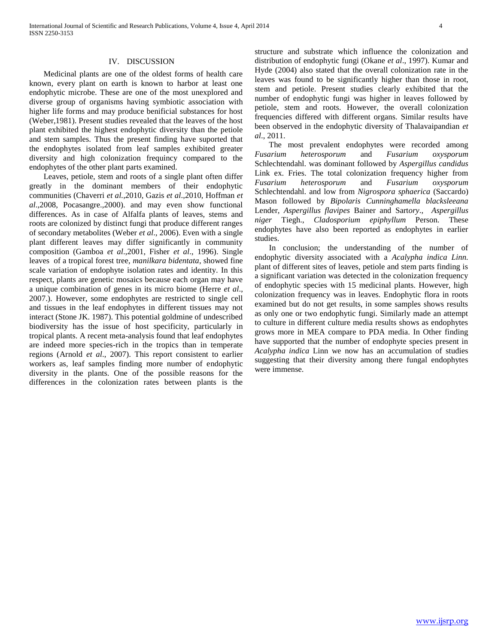#### IV. DISCUSSION

Medicinal plants are one of the oldest forms of health care known, every plant on earth is known to harbor at least one endophytic microbe. These are one of the most unexplored and diverse group of organisms having symbiotic association with higher life forms and may produce benificial substances for host (Weber,1981). Present studies revealed that the leaves of the host plant exhibited the highest endophytic diversity than the petiole and stem samples. Thus the present finding have suported that the endophytes isolated from leaf samples exhibited greater diversity and high colonization frequincy compared to the endophytes of the other plant parts examined.

Leaves, petiole, stem and roots of a single plant often differ greatly in the dominant members of their endophytic communities (Chaverri *et al.*,2010, Gazis *et al*.,2010, Hoffman *et al*.,2008, Pocasangre.,2000). and may even show functional differences. As in case of Alfalfa plants of leaves, stems and roots are colonized by distinct fungi that produce different ranges of secondary metabolites (Weber *et al*., 2006). Even with a single plant different leaves may differ significantly in community composition (Gamboa *et al*.,2001, Fisher *et al*., 1996). Single leaves of a tropical forest tree, *manilkara bidentata*, showed fine scale variation of endophyte isolation rates and identity. In this respect, plants are genetic mosaics because each organ may have a unique combination of genes in its micro biome (Herre *et al*., 2007.). However, some endophytes are restricted to single cell and tissues in the leaf endophytes in different tissues may not interact (Stone JK. 1987). This potential goldmine of undescribed biodiversity has the issue of host specificity, particularly in tropical plants. A recent meta-analysis found that leaf endophytes are indeed more species-rich in the tropics than in temperate regions (Arnold *et al*., 2007). This report consistent to earlier workers as, leaf samples finding more number of endophytic diversity in the plants. One of the possible reasons for the differences in the colonization rates between plants is the

structure and substrate which influence the colonization and distribution of endophytic fungi (Okane *et al*., 1997). Kumar and Hyde (2004) also stated that the overall colonization rate in the leaves was found to be significantly higher than those in root, stem and petiole. Present studies clearly exhibited that the number of endophytic fungi was higher in leaves followed by petiole, stem and roots. However, the overall colonization frequencies differed with different organs. Similar results have been observed in the endophytic diversity of Thalavaipandian *et al*., 2011.

The most prevalent endophytes were recorded among *Fusarium heterosporum* and *Fusarium oxysporum*  Schlechtendahl. was dominant followed by *Aspergillus candidus*  Link ex. Fries. The total colonization frequency higher from *Fusarium heterosporum* and *Fusarium oxysporum*  Schlechtendahl. and low from *Nigrospora sphaerica* (Saccardo) Mason followed by *Bipolaris Cunninghamella blacksleeana* Lender, *Aspergillus flavipes* Bainer and Sart*ory*., *Aspergillus niger* Tiegh., *Cladosporium epiphyllum* Person. These endophytes have also been reported as endophytes in earlier studies.

In conclusion; the understanding of the number of endophytic diversity associated with a *Acalypha indica Linn.* plant of different sites of leaves, petiole and stem parts finding is a significant variation was detected in the colonization frequency of endophytic species with 15 medicinal plants. However, high colonization frequency was in leaves. Endophytic flora in roots examined but do not get results, in some samples shows results as only one or two endophytic fungi. Similarly made an attempt to culture in different culture media results shows as endophytes grows more in MEA compare to PDA media. In Other finding have supported that the number of endophyte species present in *Acalypha indica* Linn we now has an accumulation of studies suggesting that their diversity among there fungal endophytes were immense.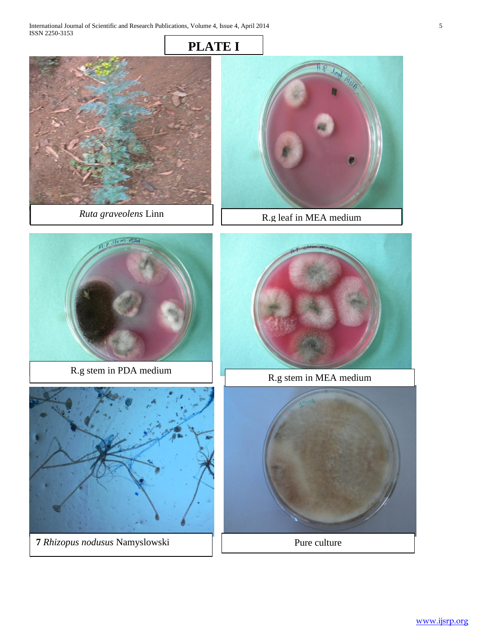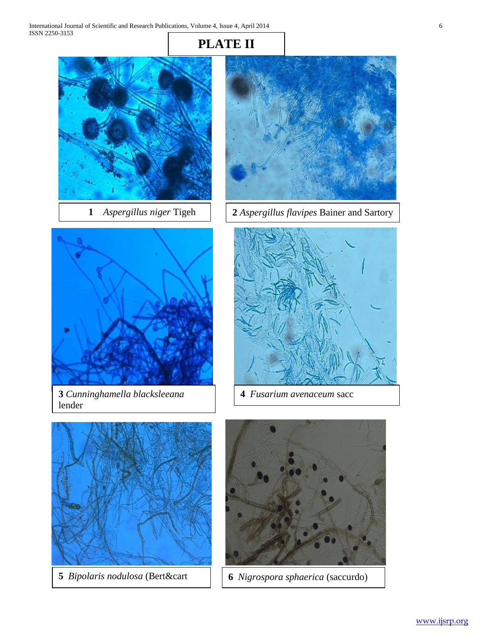